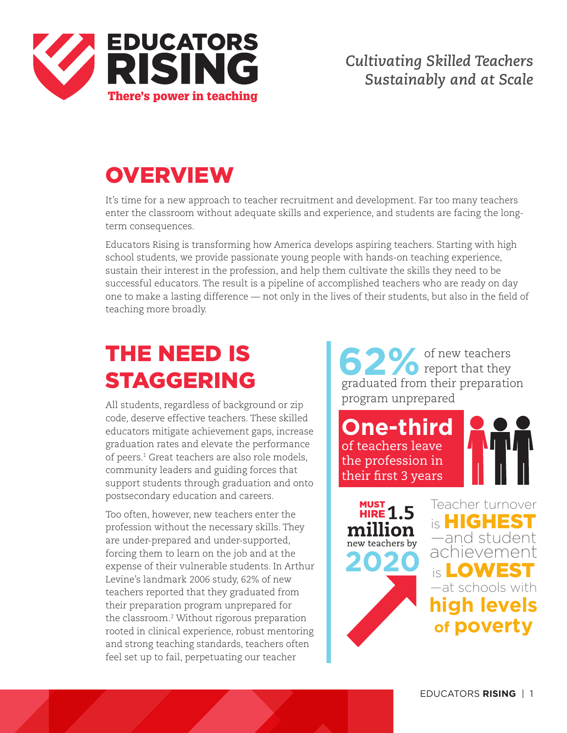

### *Cultivating Skilled Teachers Sustainably and at Scale*

### **OVERVIEW**

It's time for a new approach to teacher recruitment and development. Far too many teachers enter the classroom without adequate skills and experience, and students are facing the longterm consequences.

Educators Rising is transforming how America develops aspiring teachers. Starting with high school students, we provide passionate young people with hands-on teaching experience, sustain their interest in the profession, and help them cultivate the skills they need to be successful educators. The result is a pipeline of accomplished teachers who are ready on day one to make a lasting difference — not only in the lives of their students, but also in the field of teaching more broadly.

# THE NEED IS STAGGERING

All students, regardless of background or zip code, deserve effective teachers. These skilled educators mitigate achievement gaps, increase graduation rates and elevate the performance of peers.1 Great teachers are also role models, community leaders and guiding forces that support students through graduation and onto postsecondary education and careers.

Too often, however, new teachers enter the profession without the necessary skills. They are under-prepared and under-supported, forcing them to learn on the job and at the expense of their vulnerable students. In Arthur Levine's landmark 2006 study, 62% of new teachers reported that they graduated from their preparation program unprepared for the classroom.2 Without rigorous preparation rooted in clinical experience, robust mentoring and strong teaching standards, teachers often feel set up to fail, perpetuating our teacher

**62%** of new teachers<br> **62%** report that they report that they graduated from their preparation program unprepared

**One-third** of teachers leave the profession in their first 3 years



Teacher turnover is HIGHEST —and student achievement is LOWEST —at schools with **high levels of poverty**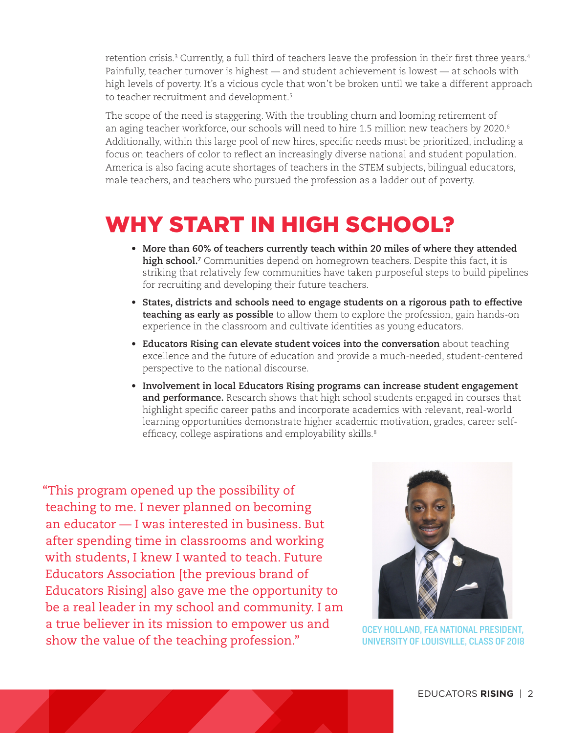retention crisis.<sup>3</sup> Currently, a full third of teachers leave the profession in their first three years.<sup>4</sup> Painfully, teacher turnover is highest — and student achievement is lowest — at schools with high levels of poverty. It's a vicious cycle that won't be broken until we take a different approach to teacher recruitment and development.<sup>5</sup>

The scope of the need is staggering. With the troubling churn and looming retirement of an aging teacher workforce, our schools will need to hire 1.5 million new teachers by 2020.<sup>6</sup> Additionally, within this large pool of new hires, specific needs must be prioritized, including a focus on teachers of color to reflect an increasingly diverse national and student population. America is also facing acute shortages of teachers in the STEM subjects, bilingual educators, male teachers, and teachers who pursued the profession as a ladder out of poverty.

### WHY START IN HIGH SCHOOL?

- • **More than 60% of teachers currently teach within 20 miles of where they attended high school.7** Communities depend on homegrown teachers. Despite this fact, it is striking that relatively few communities have taken purposeful steps to build pipelines for recruiting and developing their future teachers.
- • **States, districts and schools need to engage students on a rigorous path to effective teaching as early as possible** to allow them to explore the profession, gain hands-on experience in the classroom and cultivate identities as young educators.
- • **Educators Rising can elevate student voices into the conversation** about teaching excellence and the future of education and provide a much-needed, student-centered perspective to the national discourse.
- • **Involvement in local Educators Rising programs can increase student engagement and performance.** Research shows that high school students engaged in courses that highlight specific career paths and incorporate academics with relevant, real-world learning opportunities demonstrate higher academic motivation, grades, career selfefficacy, college aspirations and employability skills.<sup>8</sup>

"This program opened up the possibility of teaching to me. I never planned on becoming an educator — I was interested in business. But after spending time in classrooms and working with students, I knew I wanted to teach. Future Educators Association [the previous brand of Educators Rising] also gave me the opportunity to be a real leader in my school and community. I am a true believer in its mission to empower us and show the value of the teaching profession."



OCEY HOLLAND, FEA NATIONAL PRESIDENT, UNIVERSITY OF LOUISVILLE, CLASS OF 2018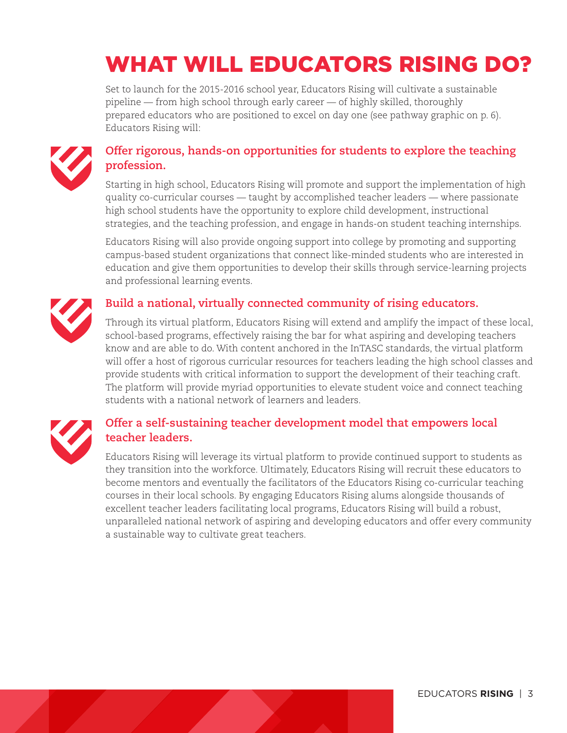# WHAT WILL EDUCATORS RISING DO?

Set to launch for the 2015-2016 school year, Educators Rising will cultivate a sustainable pipeline — from high school through early career — of highly skilled, thoroughly prepared educators who are positioned to excel on day one (see pathway graphic on p. 6). Educators Rising will:



#### **Offer rigorous, hands-on opportunities for students to explore the teaching profession.**

Starting in high school, Educators Rising will promote and support the implementation of high quality co-curricular courses — taught by accomplished teacher leaders — where passionate high school students have the opportunity to explore child development, instructional strategies, and the teaching profession, and engage in hands-on student teaching internships.

Educators Rising will also provide ongoing support into college by promoting and supporting campus-based student organizations that connect like-minded students who are interested in education and give them opportunities to develop their skills through service-learning projects and professional learning events.



#### **Build a national, virtually connected community of rising educators.**

Through its virtual platform, Educators Rising will extend and amplify the impact of these local, school-based programs, effectively raising the bar for what aspiring and developing teachers know and are able to do. With content anchored in the InTASC standards, the virtual platform will offer a host of rigorous curricular resources for teachers leading the high school classes and provide students with critical information to support the development of their teaching craft. The platform will provide myriad opportunities to elevate student voice and connect teaching students with a national network of learners and leaders.



#### **Offer a self-sustaining teacher development model that empowers local teacher leaders.**

Educators Rising will leverage its virtual platform to provide continued support to students as they transition into the workforce. Ultimately, Educators Rising will recruit these educators to become mentors and eventually the facilitators of the Educators Rising co-curricular teaching courses in their local schools. By engaging Educators Rising alums alongside thousands of excellent teacher leaders facilitating local programs, Educators Rising will build a robust, unparalleled national network of aspiring and developing educators and offer every community a sustainable way to cultivate great teachers.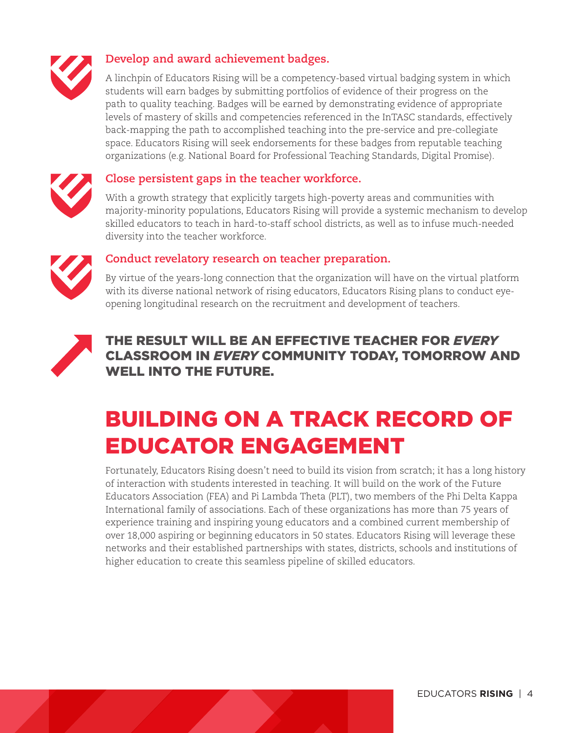

#### **Develop and award achievement badges.**

A linchpin of Educators Rising will be a competency-based virtual badging system in which students will earn badges by submitting portfolios of evidence of their progress on the path to quality teaching. Badges will be earned by demonstrating evidence of appropriate levels of mastery of skills and competencies referenced in the InTASC standards, effectively back-mapping the path to accomplished teaching into the pre-service and pre-collegiate space. Educators Rising will seek endorsements for these badges from reputable teaching organizations (e.g. National Board for Professional Teaching Standards, Digital Promise).



#### **Close persistent gaps in the teacher workforce.**

With a growth strategy that explicitly targets high-poverty areas and communities with majority-minority populations, Educators Rising will provide a systemic mechanism to develop skilled educators to teach in hard-to-staff school districts, as well as to infuse much-needed diversity into the teacher workforce.



#### **Conduct revelatory research on teacher preparation.**

By virtue of the years-long connection that the organization will have on the virtual platform with its diverse national network of rising educators, Educators Rising plans to conduct eyeopening longitudinal research on the recruitment and development of teachers.



#### THE RESULT WILL BE AN EFFECTIVE TEACHER FOR *EVERY* CLASSROOM IN *EVERY* COMMUNITY TODAY, TOMORROW AND WELL INTO THE FUTURE.

# BUILDING ON A TRACK RECORD OF EDUCATOR ENGAGEMENT

Fortunately, Educators Rising doesn't need to build its vision from scratch; it has a long history of interaction with students interested in teaching. It will build on the work of the Future Educators Association (FEA) and Pi Lambda Theta (PLT), two members of the Phi Delta Kappa International family of associations. Each of these organizations has more than 75 years of experience training and inspiring young educators and a combined current membership of over 18,000 aspiring or beginning educators in 50 states. Educators Rising will leverage these networks and their established partnerships with states, districts, schools and institutions of higher education to create this seamless pipeline of skilled educators.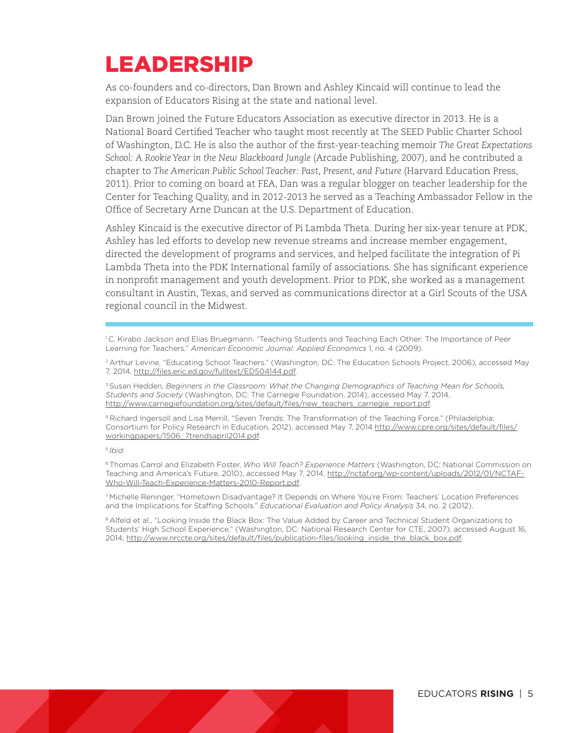# LEADERSHIP

As co-founders and co-directors, Dan Brown and Ashley Kincaid will continue to lead the expansion of Educators Rising at the state and national level.

Dan Brown joined the Future Educators Association as executive director in 2013. He is a National Board Certified Teacher who taught most recently at The SEED Public Charter School of Washington, D.C. He is also the author of the first-year-teaching memoir *The Great Expectations School: A Rookie Year in the New Blackboard Jungle* (Arcade Publishing, 2007), and he contributed a chapter to *The American Public School Teacher: Past, Present, and Future* (Harvard Education Press, 2011). Prior to coming on board at FEA, Dan was a regular blogger on teacher leadership for the Center for Teaching Quality, and in 2012-2013 he served as a Teaching Ambassador Fellow in the Office of Secretary Arne Duncan at the U.S. Department of Education.

Ashley Kincaid is the executive director of Pi Lambda Theta. During her six-year tenure at PDK, Ashley has led efforts to develop new revenue streams and increase member engagement, directed the development of programs and services, and helped facilitate the integration of Pi Lambda Theta into the PDK International family of associations. She has significant experience in nonprofit management and youth development. Prior to PDK, she worked as a management consultant in Austin, Texas, and served as communications director at a Girl Scouts of the USA regional council in the Midwest.

<sup>1</sup>C. Kirabo Jackson and Elias Bruegmann. "Teaching Students and Teaching Each Other: The Importance of Peer Learning for Teachers." *American Economic Journal: Applied Economics* 1, no. 4 (2009).

2 Arthur Levine, "Educating School Teachers." (Washington, DC: The Education Schools Project, 2006), accessed May 7, 2014, http://files.eric.ed.gov/fulltext/ED504144.pdf.

3 Susan Hedden, *Beginners in the Classroom: What the Changing Demographics of Teaching Mean for Schools, Students and Society* (Washington, DC: The Carnegie Foundation, 2014), accessed May 7, 2014, http://www.carnegiefoundation.org/sites/default/files/new\_teachers\_carnegie\_report.pdf.

4 Richard Ingersoll and Lisa Merrill, "Seven Trends: The Transformation of the Teaching Force." (Philadelphia: Consortium for Policy Research in Education, 2012), accessed May 7, 2014 http://www.cpre.org/sites/default/files/ workingpapers/1506\_7trendsapril2014.pdf.

<sup>5</sup>*Ibid*.

6 Thomas Carrol and Elizabeth Foster, *Who Will Teach? Experience Matters* (Washington, DC: National Commission on Teaching and America's Future, 2010), accessed May 7, 2014, http://nctaf.org/wp-content/uploads/2012/01/NCTAF-Who-Will-Teach-Experience-Matters-2010-Report.pdf.

7 Michelle Reninger, "Hometown Disadvantage? It Depends on Where You're From: Teachers' Location Preferences and the Implications for Staffing Schools." *Educational Evaluation and Policy Analysis* 34, no. 2 (2012).

8 Alfeld et al., "Looking Inside the Black Box: The Value Added by Career and Technical Student Organizations to Students' High School Experience." (Washington, DC: National Research Center for CTE, 2007), accessed August 16, 2014, http://www.nrccte.org/sites/default/files/publication-files/looking\_inside\_the\_black\_box.pdf.